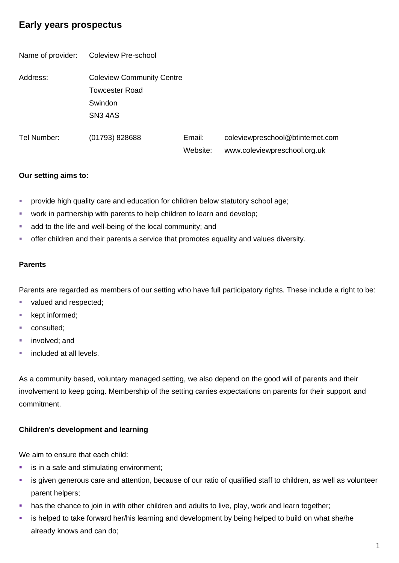# **Early years prospectus**

Name of provider: Coleview Pre-school Address: Coleview Community Centre Towcester Road Swindon SN3 4AS Tel Number: (01793) 828688 Email: Website: coleviewpreschool@btinternet.com www.coleviewpreschool.org.uk

### **Our setting aims to:**

- **•** provide high quality care and education for children below statutory school age;
- work in partnership with parents to help children to learn and develop;
- add to the life and well-being of the local community; and
- **•** offer children and their parents a service that promotes equality and values diversity.

### **Parents**

Parents are regarded as members of our setting who have full participatory rights. These include a right to be:

- valued and respected;
- kept informed;
- consulted;
- involved: and
- included at all levels.

As a community based, voluntary managed setting, we also depend on the good will of parents and their involvement to keep going. Membership of the setting carries expectations on parents for their support and commitment.

## **Children's development and learning**

We aim to ensure that each child:

- is in a safe and stimulating environment;
- **EXTED** is given generous care and attention, because of our ratio of qualified staff to children, as well as volunteer parent helpers;
- **EXT** has the chance to join in with other children and adults to live, play, work and learn together;
- is helped to take forward her/his learning and development by being helped to build on what she/he already knows and can do;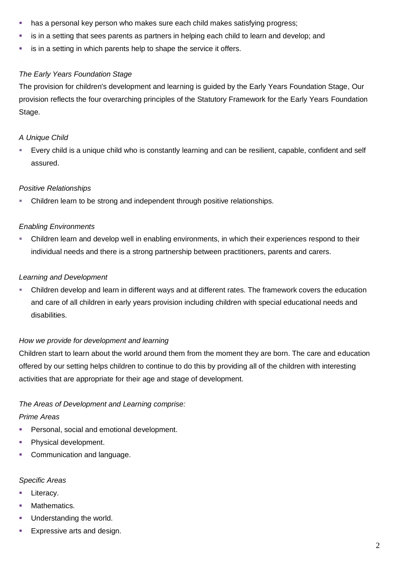- **.** has a personal key person who makes sure each child makes satisfying progress;
- is in a setting that sees parents as partners in helping each child to learn and develop; and
- **EXECT** is in a setting in which parents help to shape the service it offers.

### *The Early Years Foundation Stage*

The provision for children's development and learning is guided by the Early Years Foundation Stage, Our provision reflects the four overarching principles of the Statutory Framework for the Early Years Foundation Stage.

### *A Unique Child*

Every child is a unique child who is constantly learning and can be resilient, capable, confident and self assured.

### *Positive Relationships*

Children learn to be strong and independent through positive relationships.

### *Enabling Environments*

Children learn and develop well in enabling environments, in which their experiences respond to their individual needs and there is a strong partnership between practitioners, parents and carers.

### *Learning and Development*

▪ Children develop and learn in different ways and at different rates. The framework covers the education and care of all children in early years provision including children with special educational needs and disabilities.

### *How we provide for development and learning*

Children start to learn about the world around them from the moment they are born. The care and education offered by our setting helps children to continue to do this by providing all of the children with interesting activities that are appropriate for their age and stage of development.

## *The Areas of Development and Learning comprise:*

### *Prime Areas*

- **Personal, social and emotional development.**
- Physical development.
- **Communication and language.**

# *Specific Areas*

- **E** Literacy.
- Mathematics.
- Understanding the world.
- **Expressive arts and design.**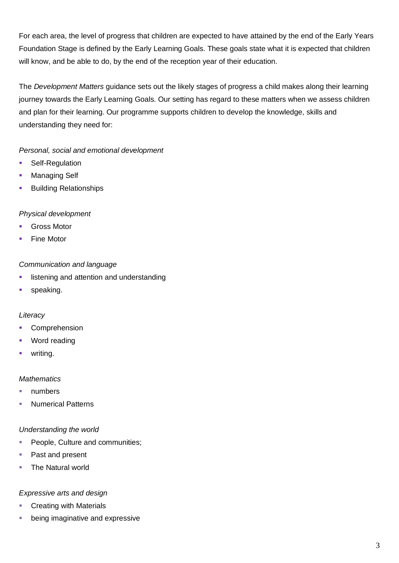For each area, the level of progress that children are expected to have attained by the end of the Early Years Foundation Stage is defined by the Early Learning Goals. These goals state what it is expected that children will know, and be able to do, by the end of the reception year of their education.

The *Development Matters* guidance sets out the likely stages of progress a child makes along their learning journey towards the Early Learning Goals. Our setting has regard to these matters when we assess children and plan for their learning. Our programme supports children to develop the knowledge, skills and understanding they need for:

*Personal, social and emotional development*

- Self-Regulation
- Managing Self
- Building Relationships

### *Physical development*

- **Gross Motor**
- **Fine Motor**

### *Communication and language*

- **EXEDENT** listening and attention and understanding
- **■** speaking.

### *Literacy*

- Comprehension
- Word reading
- writing.

### *Mathematics*

- numbers
- **Numerical Patterns**

### *Understanding the world*

- **People, Culture and communities;**
- Past and present
- The Natural world

### *Expressive arts and design*

- **Creating with Materials**
- being imaginative and expressive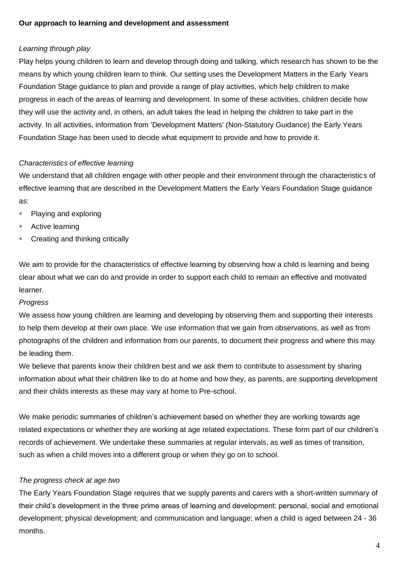### **Our approach to learning and development and assessment**

## *Learning through play*

Play helps young children to learn and develop through doing and talking, which research has shown to be the means by which young children learn to think. Our setting uses the Development Matters in the Early Years Foundation Stage guidance to plan and provide a range of play activities, which help children to make progress in each of the areas of learning and development. In some of these activities, children decide how they will use the activity and, in others, an adult takes the lead in helping the children to take part in the activity. In all activities, information from 'Development Matters' (Non-Statutory Guidance) the Early Years Foundation Stage has been used to decide what equipment to provide and how to provide it.

## *Characteristics of effective learning*

We understand that all children engage with other people and their environment through the characteristics of effective learning that are described in the Development Matters the Early Years Foundation Stage guidance as:

- Playing and exploring
- Active learning
- Creating and thinking critically

We aim to provide for the characteristics of effective learning by observing how a child is learning and being clear about what we can do and provide in order to support each child to remain an effective and motivated learner.

## *Progress*

We assess how young children are learning and developing by observing them and supporting their interests to help them develop at their own place. We use information that we gain from observations, as well as from photographs of the children and information from our parents, to document their progress and where this may be leading them.

We believe that parents know their children best and we ask them to contribute to assessment by sharing information about what their children like to do at home and how they, as parents, are supporting development and their childs interests as these may vary at home to Pre-school.

We make periodic summaries of children's achievement based on whether they are working towards age related expectations or whether they are working at age related expectations. These form part of our children's records of achievement. We undertake these summaries at regular intervals, as well as times of transition, such as when a child moves into a different group or when they go on to school.

## *The progress check at age two*

The Early Years Foundation Stage requires that we supply parents and carers with a short-written summary of their child's development in the three prime areas of learning and development: personal, social and emotional development; physical development; and communication and language; when a child is aged between 24 - 36 months.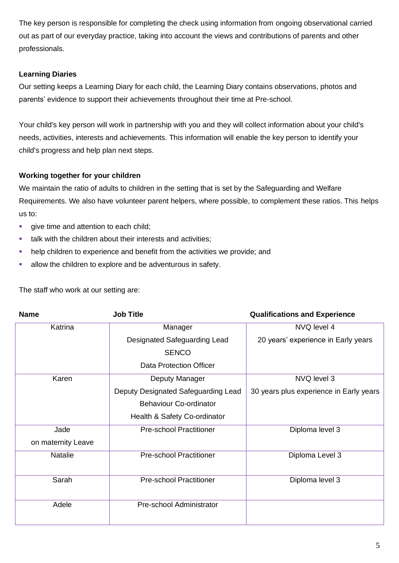The key person is responsible for completing the check using information from ongoing observational carried out as part of our everyday practice, taking into account the views and contributions of parents and other professionals.

## **Learning Diaries**

Our setting keeps a Learning Diary for each child, the Learning Diary contains observations, photos and parents' evidence to support their achievements throughout their time at Pre-school.

Your child's key person will work in partnership with you and they will collect information about your child's needs, activities, interests and achievements. This information will enable the key person to identify your child's progress and help plan next steps.

## **Working together for your children**

We maintain the ratio of adults to children in the setting that is set by the Safeguarding and Welfare Requirements. We also have volunteer parent helpers, where possible, to complement these ratios. This helps us to:

- **•** give time and attention to each child;
- **•** talk with the children about their interests and activities;
- help children to experience and benefit from the activities we provide; and
- allow the children to explore and be adventurous in safety.

| <b>Name</b>        | <b>Job Title</b>                    | <b>Qualifications and Experience</b>    |
|--------------------|-------------------------------------|-----------------------------------------|
| Katrina            | Manager                             | NVQ level 4                             |
|                    | Designated Safeguarding Lead        | 20 years' experience in Early years     |
|                    | <b>SENCO</b>                        |                                         |
|                    | <b>Data Protection Officer</b>      |                                         |
| Karen              | Deputy Manager                      | NVQ level 3                             |
|                    | Deputy Designated Safeguarding Lead | 30 years plus experience in Early years |
|                    | <b>Behaviour Co-ordinator</b>       |                                         |
|                    | Health & Safety Co-ordinator        |                                         |
| Jade               | <b>Pre-school Practitioner</b>      | Diploma level 3                         |
| on maternity Leave |                                     |                                         |
| <b>Natalie</b>     | <b>Pre-school Practitioner</b>      | Diploma Level 3                         |
| Sarah              | <b>Pre-school Practitioner</b>      | Diploma level 3                         |
| Adele              | Pre-school Administrator            |                                         |

The staff who work at our setting are: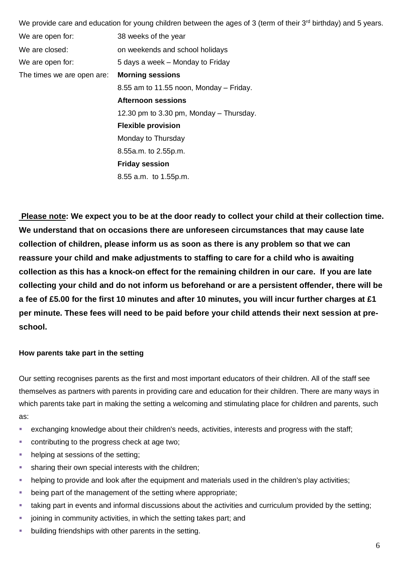|                            | We provide care and education for young children between the ages of 3 (term of their $3^{rd}$ birthday) and 5 years. |  |
|----------------------------|-----------------------------------------------------------------------------------------------------------------------|--|
| We are open for:           | 38 weeks of the year                                                                                                  |  |
| We are closed:             | on weekends and school holidays                                                                                       |  |
| We are open for:           | 5 days a week – Monday to Friday                                                                                      |  |
| The times we are open are: | <b>Morning sessions</b>                                                                                               |  |
|                            | $8.55$ am to 11.55 noon, Monday – Friday.                                                                             |  |
|                            | <b>Afternoon sessions</b>                                                                                             |  |
|                            | 12.30 pm to 3.30 pm, Monday – Thursday.                                                                               |  |
|                            | <b>Flexible provision</b>                                                                                             |  |
|                            | Monday to Thursday                                                                                                    |  |
|                            | 8.55a.m. to 2.55p.m.                                                                                                  |  |
|                            | <b>Friday session</b>                                                                                                 |  |
|                            | 8.55 a.m. to 1.55p.m.                                                                                                 |  |

**Please note: We expect you to be at the door ready to collect your child at their collection time. We understand that on occasions there are unforeseen circumstances that may cause late collection of children, please inform us as soon as there is any problem so that we can reassure your child and make adjustments to staffing to care for a child who is awaiting collection as this has a knock-on effect for the remaining children in our care. If you are late collecting your child and do not inform us beforehand or are a persistent offender, there will be a fee of £5.00 for the first 10 minutes and after 10 minutes, you will incur further charges at £1 per minute. These fees will need to be paid before your child attends their next session at preschool.** 

### **How parents take part in the setting**

Our setting recognises parents as the first and most important educators of their children. All of the staff see themselves as partners with parents in providing care and education for their children. There are many ways in which parents take part in making the setting a welcoming and stimulating place for children and parents, such as:

- exchanging knowledge about their children's needs, activities, interests and progress with the staff;
- contributing to the progress check at age two;
- helping at sessions of the setting;
- sharing their own special interests with the children;
- helping to provide and look after the equipment and materials used in the children's play activities;
- being part of the management of the setting where appropriate;
- taking part in events and informal discussions about the activities and curriculum provided by the setting;
- joining in community activities, in which the setting takes part; and
- building friendships with other parents in the setting.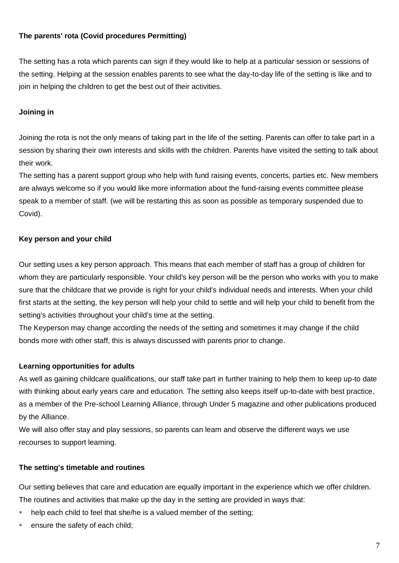### **The parents' rota (Covid procedures Permitting)**

The setting has a rota which parents can sign if they would like to help at a particular session or sessions of the setting. Helping at the session enables parents to see what the day-to-day life of the setting is like and to join in helping the children to get the best out of their activities.

### **Joining in**

Joining the rota is not the only means of taking part in the life of the setting. Parents can offer to take part in a session by sharing their own interests and skills with the children. Parents have visited the setting to talk about their work.

The setting has a parent support group who help with fund raising events, concerts, parties etc. New members are always welcome so if you would like more information about the fund-raising events committee please speak to a member of staff. (we will be restarting this as soon as possible as temporary suspended due to Covid).

### **Key person and your child**

Our setting uses a key person approach. This means that each member of staff has a group of children for whom they are particularly responsible. Your child's key person will be the person who works with you to make sure that the childcare that we provide is right for your child's individual needs and interests. When your child first starts at the setting, the key person will help your child to settle and will help your child to benefit from the setting's activities throughout your child's time at the setting.

The Keyperson may change according the needs of the setting and sometimes it may change if the child bonds more with other staff, this is always discussed with parents prior to change.

### **Learning opportunities for adults**

As well as gaining childcare qualifications, our staff take part in further training to help them to keep up-to date with thinking about early years care and education. The setting also keeps itself up-to-date with best practice, as a member of the Pre-school Learning Alliance, through Under 5 magazine and other publications produced by the Alliance.

We will also offer stay and play sessions, so parents can learn and observe the different ways we use recourses to support learning.

## **The setting's timetable and routines**

Our setting believes that care and education are equally important in the experience which we offer children. The routines and activities that make up the day in the setting are provided in ways that:

- help each child to feel that she/he is a valued member of the setting;
- ensure the safety of each child;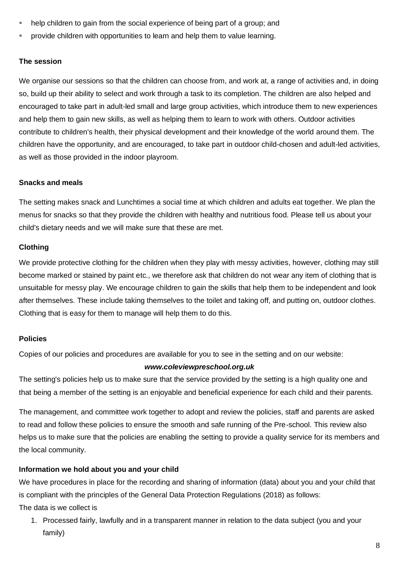- help children to gain from the social experience of being part of a group; and
- provide children with opportunities to learn and help them to value learning.

#### **The session**

We organise our sessions so that the children can choose from, and work at, a range of activities and, in doing so, build up their ability to select and work through a task to its completion. The children are also helped and encouraged to take part in adult-led small and large group activities, which introduce them to new experiences and help them to gain new skills, as well as helping them to learn to work with others. Outdoor activities contribute to children's health, their physical development and their knowledge of the world around them. The children have the opportunity, and are encouraged, to take part in outdoor child-chosen and adult-led activities, as well as those provided in the indoor playroom.

#### **Snacks and meals**

The setting makes snack and Lunchtimes a social time at which children and adults eat together. We plan the menus for snacks so that they provide the children with healthy and nutritious food. Please tell us about your child's dietary needs and we will make sure that these are met.

#### **Clothing**

We provide protective clothing for the children when they play with messy activities, however, clothing may still become marked or stained by paint etc., we therefore ask that children do not wear any item of clothing that is unsuitable for messy play. We encourage children to gain the skills that help them to be independent and look after themselves. These include taking themselves to the toilet and taking off, and putting on, outdoor clothes. Clothing that is easy for them to manage will help them to do this.

#### **Policies**

Copies of our policies and procedures are available for you to see in the setting and on our website:

#### *www.coleviewpreschool.org.uk*

The setting's policies help us to make sure that the service provided by the setting is a high quality one and that being a member of the setting is an enjoyable and beneficial experience for each child and their parents.

The management, and committee work together to adopt and review the policies, staff and parents are asked to read and follow these policies to ensure the smooth and safe running of the Pre-school. This review also helps us to make sure that the policies are enabling the setting to provide a quality service for its members and the local community.

### **Information we hold about you and your child**

We have procedures in place for the recording and sharing of information (data) about you and your child that is compliant with the principles of the General Data Protection Regulations (2018) as follows:

The data is we collect is

1. Processed fairly, lawfully and in a transparent manner in relation to the data subject (you and your family)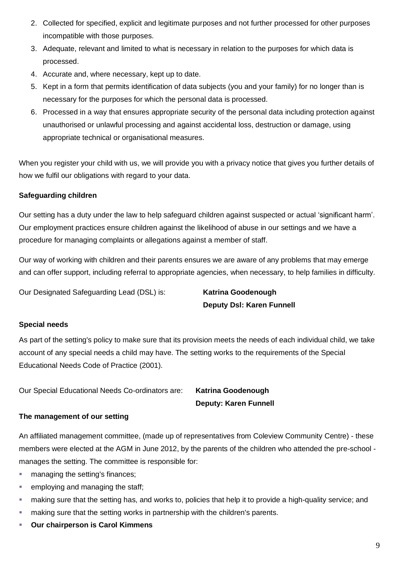- 2. Collected for specified, explicit and legitimate purposes and not further processed for other purposes incompatible with those purposes.
- 3. Adequate, relevant and limited to what is necessary in relation to the purposes for which data is processed.
- 4. Accurate and, where necessary, kept up to date.
- 5. Kept in a form that permits identification of data subjects (you and your family) for no longer than is necessary for the purposes for which the personal data is processed.
- 6. Processed in a way that ensures appropriate security of the personal data including protection against unauthorised or unlawful processing and against accidental loss, destruction or damage, using appropriate technical or organisational measures.

When you register your child with us, we will provide you with a privacy notice that gives you further details of how we fulfil our obligations with regard to your data.

## **Safeguarding children**

Our setting has a duty under the law to help safeguard children against suspected or actual 'significant harm'. Our employment practices ensure children against the likelihood of abuse in our settings and we have a procedure for managing complaints or allegations against a member of staff.

Our way of working with children and their parents ensures we are aware of any problems that may emerge and can offer support, including referral to appropriate agencies, when necessary, to help families in difficulty.

Our Designated Safeguarding Lead (DSL) is: **Katrina Goodenough**

**Deputy Dsl: Karen Funnell**

## **Special needs**

As part of the setting's policy to make sure that its provision meets the needs of each individual child, we take account of any special needs a child may have. The setting works to the requirements of the Special Educational Needs Code of Practice (2001).

Our Special Educational Needs Co-ordinators are: **Katrina Goodenough**

**Deputy: Karen Funnell**

## **The management of our setting**

An affiliated management committee, (made up of representatives from Coleview Community Centre) - these members were elected at the AGM in June 2012, by the parents of the children who attended the pre-school manages the setting. The committee is responsible for:

- managing the setting's finances;
- **employing and managing the staff;**
- making sure that the setting has, and works to, policies that help it to provide a high-quality service; and
- **E** making sure that the setting works in partnership with the children's parents.
- **Our chairperson is Carol Kimmens**